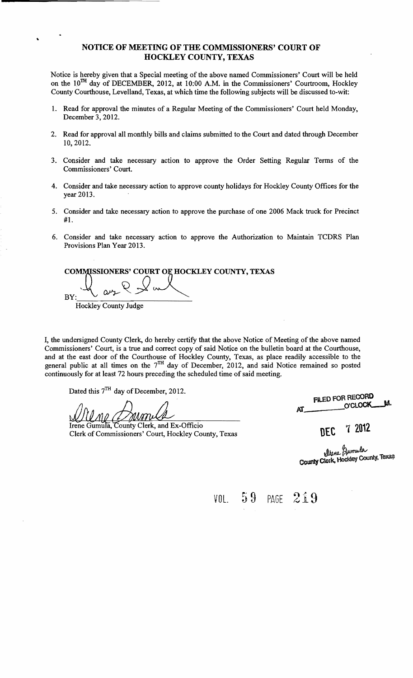#### NOTICE OF MEETING OF THE COMMISSIONERS' COURT OF HOCKLEY COUNTY, TEXAS

Notice is hereby given that a Special meeting of the above named Commissioners' Court will be held on the 10<sup>TH</sup> day of DECEMBER, 2012, at 10:00 A.M. in the Commissioners' Courtroom, Hockley County Courthouse, Levelland, Texas, at which time the following subjects will be discussed to-wit:

- 1. Read for approval the minutes of a Regular Meeting of the Commissioners' Court held Monday, December 3, 2012.
- 2. Read for approval all monthly bills and claims submitted to the Court and dated through December 10,2012.
- 3. Consider and take necessary action to approve the Order Setting Regular Terms of the Commissioners' Court.
- 4. Consider and take necessary action to approve county holidays for Hockley County Offices for the year 2013.
- 5. Consider and take necessary action to approve the purchase of one 2006 Mack truck for Precinct #1.
- 6. Consider and take necessary action to approve the Authorization to Maintain TCDRS Plan Provisions Plan Year 2013.

COMMISSIONERS' COURT OF HOCKLEY COUNTY, TEXAS BY: Hockley County Judge '1(  $\mathcal{L}$ ET OF HOCKLEY CO

I, the undersigned County Clerk, do hereby certify that the above Notice of Meeting of the above named Commissioners' Court, is a true and correct copy of said Notice on the bulletin board at the Courthouse, and at the east door of the Courthouse of Hockley County, Texas, as place readily accessible to the general public at all times on the  $7<sup>TH</sup>$  day of December, 2012, and said Notice remained so posted continuously for at least 72 hours preceding the scheduled time of said meeting.

Dated this 7<sup>TH</sup> day of December, 2012.

..

Irene Gumula, County Clerk, and Ex-Officio **DEC** 7 2012<br>Clerk of Commissioners' Court, Hockley County, Texas

FILED FOR RECORD FILED FOR RECORD<br>O'CLOCK M.

Urene Gumula<br>County Clerk, Hockley County, Texas

VOL.  $59$  PAGE  $219$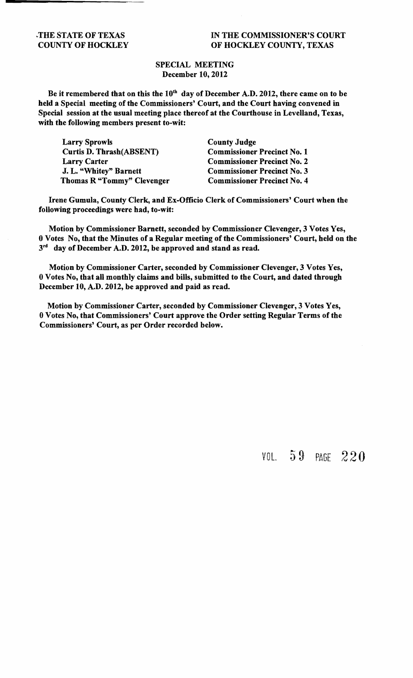### THE STATE OF TEXAS IN THE COMMISSIONER'S COURT COUNTY OF HOCKLEY OF HOCKLEY COUNTY, TEXAS

### SPECIAL MEETING December 10,2012

Be it remembered that on this the  $10^{th}$  day of December A.D. 2012, there came on to be held a Special meeting of the Commissioners' Court, and the Court having convened in Special session at the usual meeting place thereof at the Courthouse in Levelland, Texas, with the following members present to-wit:

| <b>Larry Sprowls</b>            | <b>County Judge</b>                |
|---------------------------------|------------------------------------|
| <b>Curtis D. Thrash(ABSENT)</b> | <b>Commissioner Precinct No. 1</b> |
| <b>Larry Carter</b>             | <b>Commissioner Precinct No. 2</b> |
| J. L. "Whitey" Barnett          | <b>Commissioner Precinct No. 3</b> |
| Thomas R "Tommy" Clevenger      | <b>Commissioner Precinct No. 4</b> |

Irene Gumula, County Clerk, and Ex-Officio Clerk of Commissioners' Court when the following proceedings were had, to-wit:

Motion by Commissioner Barnett, seconded by Commissioner Clevenger, 3 Votes Yes, 0 Votes No, that the Minutes of a Regular meeting of the Commissioners' Court, held on the  $3<sup>rd</sup>$  day of December A.D. 2012, be approved and stand as read.

Motion by Commissioner Carter, seconded by Commissioner Clevenger, 3 Votes Yes, 0 Votes No, that all monthly claims and bills, submitted to the Court, and dated through December 10, A.D. 2012, be approved and paid as read.

Motion by Commissioner Carter, seconded by Commissioner Clevenger, 3 Votes Yes, 0 Votes No, that Commissioners' Court approve the Order setting Regular Terms of the Commissioners' Court, as per Order recorded below.

### VOL. 59 PAGE 220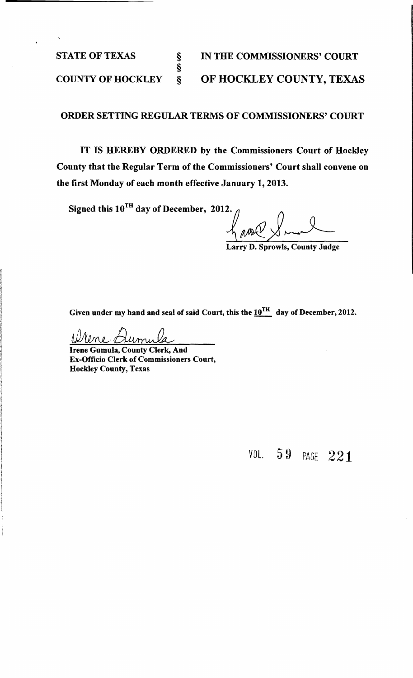§

STATE OF TEXAS § IN THE COMMISSIONERS' COURT COUNTY OF HOCKLEY § OF HOCKLEY COUNTY, TEXAS

### ORDER SETTING REGULAR TERMS OF COMMISSIONERS' COURT

IT IS HEREBY ORDERED by the Commissioners Court of Hockley County that the Regular Term of the Commissioners' Court shall convene on the first Monday of each month effective January 1, 2013.

Signed this  $10^{TH}$ 

day of December, 2012.  $\int$   $\int$   $\int$   $\int$ 

Larry D. Sprowls, County Judge

Given under my hand and seal of said Court, this the  $10^{TH}$  day of December, 2012.

Irene Gumula, County Clerk, And Ex-Officio Clerk of Commissioners Court, Hockley County, Texas

VOL. 5 9 PAGE 221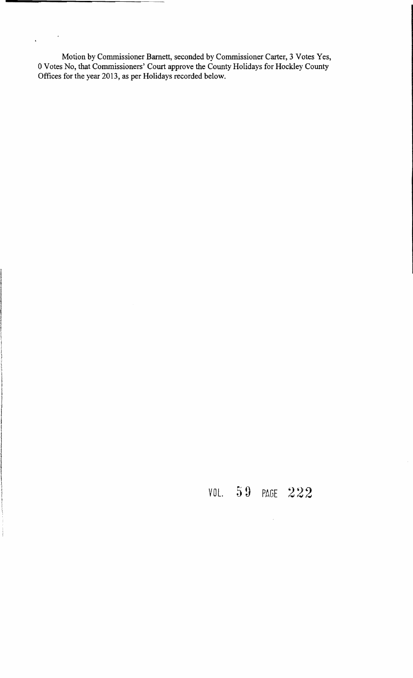Motion by Commissioner Barnett, seconded by Commissioner Carter, 3 Votes Yes, o Votes No, that Commissioners' Court approve the County Holidays for Hockley County Offices for the year 2013, as per Holidays recorded below.

 $\mathcal{A}$ 

 $\hat{\mathbf{r}}$ 

 $\label{eq:1} \frac{1}{2} \int_{0}^{2\pi} \frac{1}{2} \left( \frac{1}{2} \int_{0}^{2\pi} \frac{1}{2} \left( \frac{1}{2} \int_{0}^{2\pi} \frac{1}{2} \left( \frac{1}{2} \int_{0}^{2\pi} \frac{1}{2} \right) \frac{1}{2} \right) \frac{1}{2} \, d\mu \right) \, d\mu$ 

### VOL. 59 PAGE 222

 $\mathcal{A}^{\mathcal{A}}$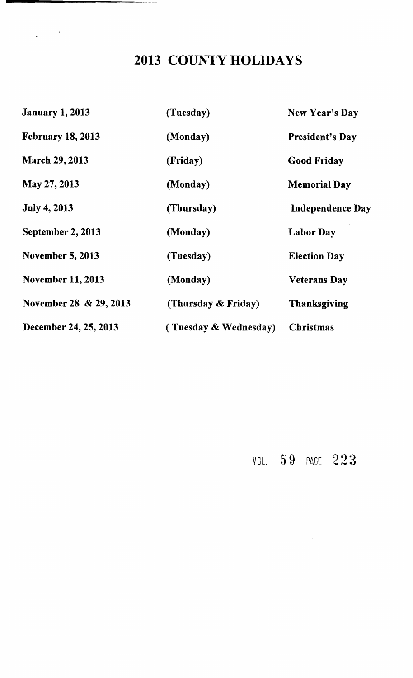### 2013 COUNTY HOLIDAYS

 $\frac{1}{2} \left( \frac{1}{2} \right) \frac{1}{2} \left( \frac{1}{2} \right)$ 

| <b>January 1, 2013</b>   | (Tuesday)                | New Year's Day          |
|--------------------------|--------------------------|-------------------------|
| <b>February 18, 2013</b> | (Monday)                 | <b>President's Day</b>  |
| <b>March 29, 2013</b>    | (Friday)                 | <b>Good Friday</b>      |
| May 27, 2013             | (Monday)                 | <b>Memorial Day</b>     |
| <b>July 4, 2013</b>      | (Thursday)               | <b>Independence Day</b> |
| September 2, 2013        | (Monday)                 | <b>Labor Day</b>        |
| <b>November 5, 2013</b>  | (Tuesday)                | <b>Election Day</b>     |
| <b>November 11, 2013</b> | (Monday)                 | <b>Veterans Day</b>     |
| November 28 & 29, 2013   | (Thursday & Friday)      | <b>Thanksgiving</b>     |
| December 24, 25, 2013    | (Tuesday $\&$ Wednesday) | <b>Christmas</b>        |

<code>VOL. 59</code> PAGE  $223$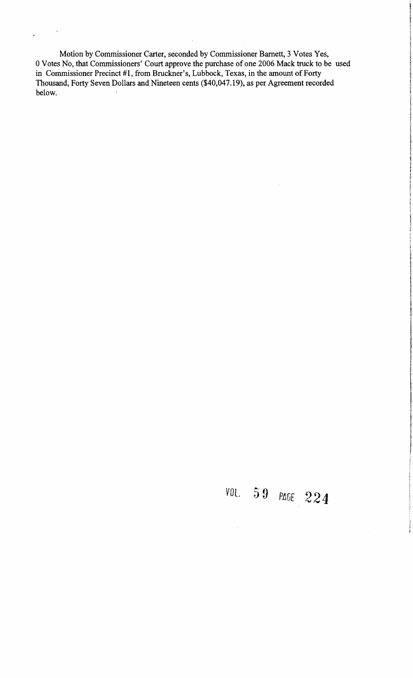Motion by Commissioner Carter, seconded by Commissioner Barnett, 3 Votes Yes, 0 Votes No, that Commissioners' Court approve the purchase of one 2006 Mack truck to be used in Commissioner Precinct #1, from Bruckner's, Lubbock, Texas, in the amount of Forty Thousand, Forty Seven Dollars and Nineteen cents (\$40,047.19), as per Agreement recorded below.

 $\cdot$ 

 $\overline{a}$ 

# VOL. 59 PAGE 224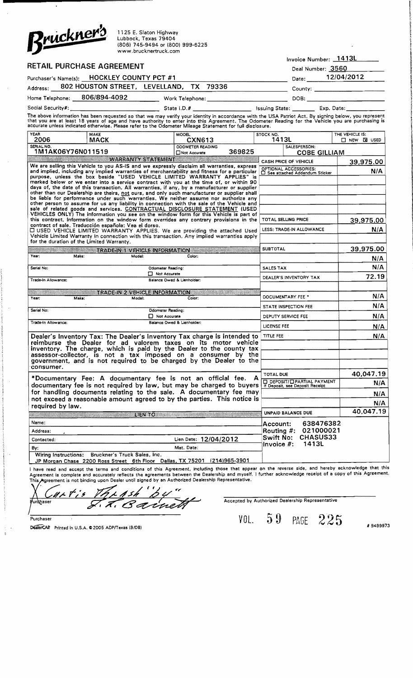

1125 E. Slaton Highway Lubbock, Texas 79404 (806) 745-9494 or (800) 999-6225 www.brucknertruck.com

|          |                                            |                                                                                                                                                                                                                                                                                                                                                                                                                       |       | Invoice Number: 1413L         |
|----------|--------------------------------------------|-----------------------------------------------------------------------------------------------------------------------------------------------------------------------------------------------------------------------------------------------------------------------------------------------------------------------------------------------------------------------------------------------------------------------|-------|-------------------------------|
|          | RETAIL PURCHASE AGREEMENT                  |                                                                                                                                                                                                                                                                                                                                                                                                                       |       | Deal Number: 3560             |
|          | Purchaser's Name(s): HOCKLEY COUNTY PCT #1 |                                                                                                                                                                                                                                                                                                                                                                                                                       | Date: | 12/04/2012                    |
| Address: |                                            | 802 HOUSTON STREET, LEVELLAND, TX 79336                                                                                                                                                                                                                                                                                                                                                                               |       | County: _____________________ |
|          | Home Telephone: 806/894-4092               | Work Telephone: North Market Street Street Street Street Street Street Street Street Street Street Street Street Street Street Street Street Street Street Street Street Street Street Street Street Street Street Street Stre                                                                                                                                                                                        | DOB:  |                               |
|          |                                            | State $1. D. H$                                                                                                                                                                                                                                                                                                                                                                                                       |       | Issuing State: Exp. Date:     |
|          |                                            | The above information has been requested so that we may verify your identity in accordance with the USA Patriot Act. By signing below, you represent<br>that you are at least 18 years of age and have authority to enter into this Agreement. The Odometer Reading for the Vehicle you are purchasing is<br>accurate unless indicated otherwise. Please refer to the Odometer Mileage Statement for full disclosure. |       |                               |

| 1413L<br>2006<br><b>MACK</b><br><b>CXN613</b><br>SERIAL NO.<br><b>OOOMETER READING</b><br>SALESPERSON:<br>1M1AK06Y76N011519<br>369825<br><b>COBE GILLIAM</b><br>Not Accurate<br>WARRANTY STATEMENT<br>CASH PRICE OF VEHICLE<br>We are selling this Vehicle to you AS-IS and we expressly disclaim all warranties, express<br>OPTIONAL ACCESSORIES:<br>□ See attached Addendum Sticker<br>and implied, including any implied warranties of merchantability and fitness for a particular<br>purpose, unless the box beside "USED VEHICLE LIMITED WARRANTY APPLIES" is<br>marked below or we enter into a service contract with you at the time of, or within 90<br>days of, the date of this transaction. All warranties, if any, by a manufacturer or supplier<br>other than our Dealership are theirs, not ours, and only such manufacturer or supplier shall<br>be liable for performance under such warranties. We neither assume nor authorize any<br>other person to assume for us any liability in connection with the sale of the Vehicle and<br>sale of related goods and services. CONTRACTUAL DISCLOSURE STATEMENT (USED<br>VEHICLES ONLY) The information you see on the window form for this Vehicle is part of<br>this contract, information on the window form overrides any contrary provisions in the<br>TOTAL SELLING PRICE | $\Box$ NEW $\Box$ USED<br>39,975.00<br>N/A |
|---------------------------------------------------------------------------------------------------------------------------------------------------------------------------------------------------------------------------------------------------------------------------------------------------------------------------------------------------------------------------------------------------------------------------------------------------------------------------------------------------------------------------------------------------------------------------------------------------------------------------------------------------------------------------------------------------------------------------------------------------------------------------------------------------------------------------------------------------------------------------------------------------------------------------------------------------------------------------------------------------------------------------------------------------------------------------------------------------------------------------------------------------------------------------------------------------------------------------------------------------------------------------------------------------------------------------------------------|--------------------------------------------|
|                                                                                                                                                                                                                                                                                                                                                                                                                                                                                                                                                                                                                                                                                                                                                                                                                                                                                                                                                                                                                                                                                                                                                                                                                                                                                                                                             |                                            |
|                                                                                                                                                                                                                                                                                                                                                                                                                                                                                                                                                                                                                                                                                                                                                                                                                                                                                                                                                                                                                                                                                                                                                                                                                                                                                                                                             |                                            |
|                                                                                                                                                                                                                                                                                                                                                                                                                                                                                                                                                                                                                                                                                                                                                                                                                                                                                                                                                                                                                                                                                                                                                                                                                                                                                                                                             |                                            |
|                                                                                                                                                                                                                                                                                                                                                                                                                                                                                                                                                                                                                                                                                                                                                                                                                                                                                                                                                                                                                                                                                                                                                                                                                                                                                                                                             |                                            |
|                                                                                                                                                                                                                                                                                                                                                                                                                                                                                                                                                                                                                                                                                                                                                                                                                                                                                                                                                                                                                                                                                                                                                                                                                                                                                                                                             |                                            |
|                                                                                                                                                                                                                                                                                                                                                                                                                                                                                                                                                                                                                                                                                                                                                                                                                                                                                                                                                                                                                                                                                                                                                                                                                                                                                                                                             |                                            |
| contract of sale. Traducción española: Vea el dorso.                                                                                                                                                                                                                                                                                                                                                                                                                                                                                                                                                                                                                                                                                                                                                                                                                                                                                                                                                                                                                                                                                                                                                                                                                                                                                        | 39,975.00                                  |
| LESS: TRADE-IN ALLOWANCE<br><b>C USED VEHICLE LIMITED WARRANTY APPLIES. We are providing the attached Used</b><br>Vehicle Limited Warranty in connection with this transaction. Any implied warranties apply<br>for the duration of the Limited Warranty.                                                                                                                                                                                                                                                                                                                                                                                                                                                                                                                                                                                                                                                                                                                                                                                                                                                                                                                                                                                                                                                                                   | N/A                                        |
| <b>SUBTOTAL</b><br>TRADE-IN 1 VEHICLE INFORMATION                                                                                                                                                                                                                                                                                                                                                                                                                                                                                                                                                                                                                                                                                                                                                                                                                                                                                                                                                                                                                                                                                                                                                                                                                                                                                           | 39,975.00                                  |
| Year:<br>Make:<br>Model:<br>Color:                                                                                                                                                                                                                                                                                                                                                                                                                                                                                                                                                                                                                                                                                                                                                                                                                                                                                                                                                                                                                                                                                                                                                                                                                                                                                                          | N/A                                        |
| <b>SALES TAX</b><br>Serial No:<br><b>Odomster Reading:</b>                                                                                                                                                                                                                                                                                                                                                                                                                                                                                                                                                                                                                                                                                                                                                                                                                                                                                                                                                                                                                                                                                                                                                                                                                                                                                  | N/A                                        |
| Not Accurate<br>DEALER'S INVENTORY TAX                                                                                                                                                                                                                                                                                                                                                                                                                                                                                                                                                                                                                                                                                                                                                                                                                                                                                                                                                                                                                                                                                                                                                                                                                                                                                                      | 72.19                                      |
| Balance Owed & Lienholder:<br>Trade-in Allowance:                                                                                                                                                                                                                                                                                                                                                                                                                                                                                                                                                                                                                                                                                                                                                                                                                                                                                                                                                                                                                                                                                                                                                                                                                                                                                           |                                            |
| TRADE IN 2 VEHICLE INFORMATION<br>DOCUMENTARY FEE *                                                                                                                                                                                                                                                                                                                                                                                                                                                                                                                                                                                                                                                                                                                                                                                                                                                                                                                                                                                                                                                                                                                                                                                                                                                                                         | N/A                                        |
| Model:<br>Year:<br>Color:<br>Make:                                                                                                                                                                                                                                                                                                                                                                                                                                                                                                                                                                                                                                                                                                                                                                                                                                                                                                                                                                                                                                                                                                                                                                                                                                                                                                          |                                            |
| <b>STATE INSPECTION FEE</b><br>Serial No:<br>Odometer Reading:                                                                                                                                                                                                                                                                                                                                                                                                                                                                                                                                                                                                                                                                                                                                                                                                                                                                                                                                                                                                                                                                                                                                                                                                                                                                              | N/A                                        |
| $\Box$ Not Accurate<br>DEPUTY SERVICE FEE<br>Trade-In Allowance:<br>Balance Owed & Lienholder:                                                                                                                                                                                                                                                                                                                                                                                                                                                                                                                                                                                                                                                                                                                                                                                                                                                                                                                                                                                                                                                                                                                                                                                                                                              | N/A                                        |
| <b>LICENSE FEE</b>                                                                                                                                                                                                                                                                                                                                                                                                                                                                                                                                                                                                                                                                                                                                                                                                                                                                                                                                                                                                                                                                                                                                                                                                                                                                                                                          | N/A                                        |
| <b>TITLE FEE</b><br>Dealer's Inventory Tax: The Dealer's Inventory Tax charge is intended to<br>reimburse the Dealer for ad valorem taxes on its motor vehicle<br>inventory. The charge, which is paid by the Dealer to the county tax<br>assessor-collector, is not a tax imposed on a consumer by the<br>government, and is not required to be charged by the Dealer to the                                                                                                                                                                                                                                                                                                                                                                                                                                                                                                                                                                                                                                                                                                                                                                                                                                                                                                                                                               | N/A                                        |
| consumer.<br><b>TOTAL DUE</b>                                                                                                                                                                                                                                                                                                                                                                                                                                                                                                                                                                                                                                                                                                                                                                                                                                                                                                                                                                                                                                                                                                                                                                                                                                                                                                               | 40,047.19                                  |
| *Documentary Fee: A documentary fee is not an official fee. A<br>D DEPOSIT/D PARTIAL PAYMENT<br>If Deposit, see Deposit Receipt<br>documentary fee is not required by law, but may be charged to buyers                                                                                                                                                                                                                                                                                                                                                                                                                                                                                                                                                                                                                                                                                                                                                                                                                                                                                                                                                                                                                                                                                                                                     | N/A                                        |
| for handling documents relating to the sale. A documentary fee may                                                                                                                                                                                                                                                                                                                                                                                                                                                                                                                                                                                                                                                                                                                                                                                                                                                                                                                                                                                                                                                                                                                                                                                                                                                                          | N/A                                        |
| not exceed a reasonable amount agreed to by the parties. This notice is                                                                                                                                                                                                                                                                                                                                                                                                                                                                                                                                                                                                                                                                                                                                                                                                                                                                                                                                                                                                                                                                                                                                                                                                                                                                     | N/A                                        |
| required by law.<br>UNPAID BALANCE DUE<br><b>EXAMPLE AND TO AN ABOVE AND RELEASED AT A RELEASED FOR THE STATE OF A RELEASED FOR THE STATE OF A R</b>                                                                                                                                                                                                                                                                                                                                                                                                                                                                                                                                                                                                                                                                                                                                                                                                                                                                                                                                                                                                                                                                                                                                                                                        | 40,047.19                                  |
| Name:<br>638476382                                                                                                                                                                                                                                                                                                                                                                                                                                                                                                                                                                                                                                                                                                                                                                                                                                                                                                                                                                                                                                                                                                                                                                                                                                                                                                                          |                                            |
| Account:<br>021000021<br>Routing #:<br>Address:                                                                                                                                                                                                                                                                                                                                                                                                                                                                                                                                                                                                                                                                                                                                                                                                                                                                                                                                                                                                                                                                                                                                                                                                                                                                                             |                                            |
| CHASUS33<br>Swift No:<br>Lien Date: 12/04/2012<br>Contacted:                                                                                                                                                                                                                                                                                                                                                                                                                                                                                                                                                                                                                                                                                                                                                                                                                                                                                                                                                                                                                                                                                                                                                                                                                                                                                |                                            |
| 1413L<br>Invoice #:<br>Mat. Date:<br>By:                                                                                                                                                                                                                                                                                                                                                                                                                                                                                                                                                                                                                                                                                                                                                                                                                                                                                                                                                                                                                                                                                                                                                                                                                                                                                                    |                                            |
| Wiring Instructions: Bruckner's Truck Sales, Inc.<br>JP Morgan Chase 2200 Ross Street 6th Floor Dallas, TX 75201 (214)965-3901<br>have read and accept the terms and conditions of this Agreement, including those that appear on the reverse side, and hereby acknowledge that this                                                                                                                                                                                                                                                                                                                                                                                                                                                                                                                                                                                                                                                                                                                                                                                                                                                                                                                                                                                                                                                        |                                            |

Agreement is complete and accurately reflects the agreements between the Dealership and myself. I further acknowledge receipt of a copy of this Agreement. This Agreement is not binding upon Dealer until signed by an Authorized Dealership Representative.

 $\frac{2}{2}$  $\epsilon_{\ell}$  $\boldsymbol{\Sigma}$ <u>MET is</u> Barnett ے  $\frac{\mathcal{S}}{\text{Puctlaser}}$ <br>Purchaser Printed in U.S.A. C 2005 ADP/Texas (9/06)<br>DealerCAP Printed in U.S.A. C 2005 ADP/Texas (9/06) Purdhaser  $7.77$ 

Accepted by Authorized Dealership Representative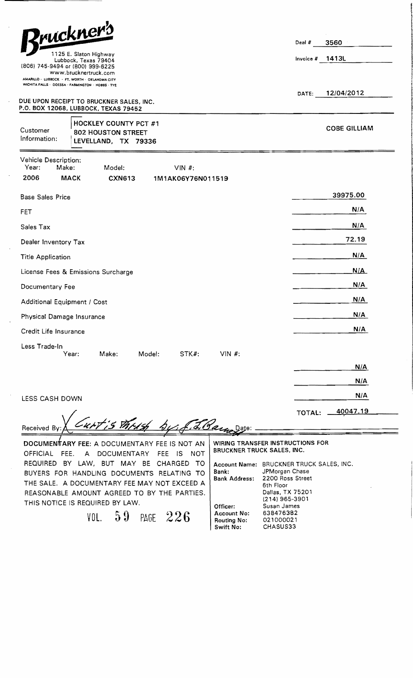| Rruckner's<br>1125 E. Slaton Highway<br>Lubbock, Texas 79404<br>(806) 745-9494 or (800) 999-6225<br>www.brucknertruck.com<br>AMARILLO - LUBBOCK - FT, WORTH - OKLAHOMA CITY | Deal #<br>Invoice $#$ | 3560<br>1413L       |
|-----------------------------------------------------------------------------------------------------------------------------------------------------------------------------|-----------------------|---------------------|
| WICHITA FALLS . OOESSA - FARMINGTON . HOBBS - TYE<br>DUE UPON RECEIPT TO BRUCKNER SALES, INC.                                                                               | DATE:                 | 12/04/2012          |
| P.O. BOX 12068, LUBBOCK, TEXAS 79452<br><b>HOCKLEY COUNTY PCT #1</b><br>Customer<br><b>802 HOUSTON STREET</b><br>Information:<br>LEVELLAND, TX 79336                        |                       | <b>COBE GILLIAM</b> |
| Vehicle Description:<br>Year:<br>Make:<br>Model:<br>$VIN$ #:<br>2006<br><b>MACK</b><br><b>CXN613</b><br>1M1AK06Y76N011519                                                   |                       |                     |
| <b>Base Sales Price</b>                                                                                                                                                     |                       | 39975.00            |
| <b>FET</b>                                                                                                                                                                  |                       | N/A                 |
| Sales Tax                                                                                                                                                                   |                       | N/A                 |
| Dealer Inventory Tax                                                                                                                                                        |                       | 72.19               |
| <b>Title Application</b>                                                                                                                                                    |                       | N/A                 |
| License Fees & Emissions Surcharge                                                                                                                                          |                       | N/A                 |
| Documentary Fee                                                                                                                                                             |                       | N/A                 |
| Additional Equipment / Cost                                                                                                                                                 |                       | N/A                 |
| Physical Damage Insurance                                                                                                                                                   |                       | N/A                 |
| Credit Life Insurance                                                                                                                                                       |                       | N/A                 |
| Less Trade-In<br>VIN $#$ :<br>Year:<br>Make:<br>Model:<br>STK#:                                                                                                             |                       |                     |
|                                                                                                                                                                             |                       | N/A                 |
|                                                                                                                                                                             |                       | N/A                 |
| LESS CASH DOWN                                                                                                                                                              |                       | N/A                 |
| wit is thush by f. L. Barnaggie:<br>Received By                                                                                                                             | TOTAL:                | 40047.19            |

DOCUMENTARY FEE: A DOCUMENTARY FEE IS NOT AN OFFICIAL FEE. A DOCUMENTARY FEE IS NOT REQUIRED BY LAW, BUT MAY BE CHARGED TO BUYERS FOR HANDLING DOCUMENTS RELATING TO THE SALE. A DOCUMENTARY FEE MAY NOT EXCEED A REASONABLE AMOUNT AGREED TO BY THE PARTIES. THIS NOTICE IS REQUIRED BY LAW.

VOL. 59 PAGE 226

WIRING TRANSFER INSTRUCTIONS FOR BRUCKNER TRUCK SALES, INC.

Account Name: BRUCKNER TRUCK SALES, INC. Bank: Bank Address: Officer: Account No: Routing No: Swift No: JPMorgan Chase 2200 Ross Street 6th Floor Dallas, TX 75201 (214) 965-3901 Susan James 638476382 021000021 CHASUS33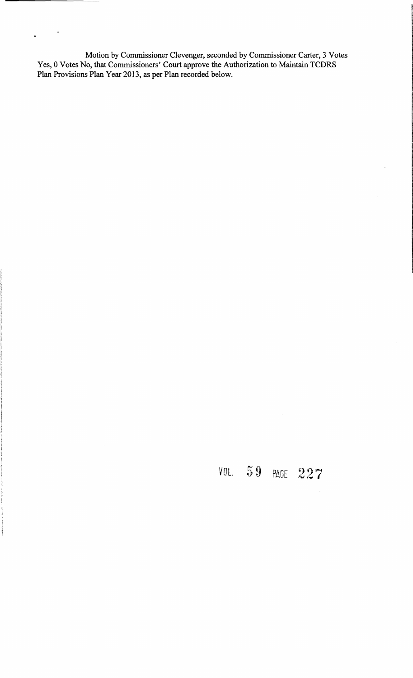Motion by Commissioner Clevenger, seconded by Commissioner Carter, 3 Votes Yes, 0 Votes No, that Commissioners' Court approve the Authorization to Maintain TCDRS Plan Provisions Plan Year 2013, as per Plan recorded below.

 $\sim$   $\star$ 

distribution

 $\ddot{\phantom{a}}$ 

VOL. 5 9 PAGE 227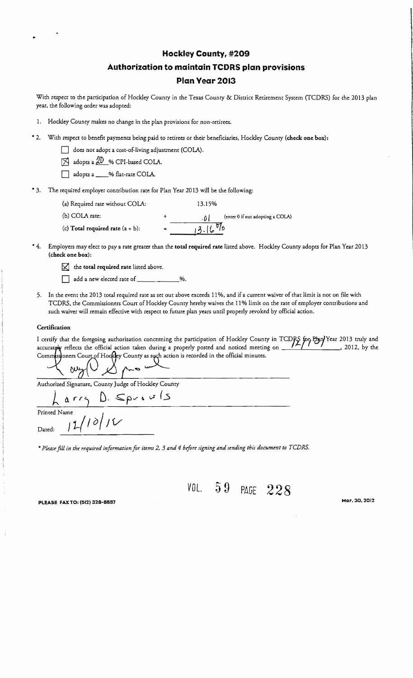## I **Hockley Countyr** <sup>I</sup> **#209 Authorization to maintain TCDRS plan provisions Plan Year 2013**

With respect to the participation of Hockley Couney in the Texas Couney & District Retirement System (fCDRS) for the 2013 plan year, the following order was adopted:

- 1. Hockley County makes no change in the plan provisions for non-retirees.
- \* 2. With respect to benefit payments being paid to retirees or their beneficiaries, Hockley County (check one box):
	- does not adopt a cost-of-living adjustment (COLA).
	- $[8]$  adopts a  $[2D]$  % CPI-based COLA.
	- adopts a \_\_\_% flat-rate COLA.
- \* 3. The required employer contribution rate for Plan Year 2013 will be the following:
	- (a) Required rate without COlA: 13.15% (b) COLA rate:  $\Lambda$  +  $\Lambda$  (enter 0 if not adopting a COLA) (c) Total required rate (a "I- b): --1-;3-.I---'(.,,"d'/--t>
- \* 4. Employers may elect to pay a rate greater than the total required rate listed above. Hockley County adopts for Plan Year 2013 (check one box) :

•

- $\boxtimes$  the total required rate listed above.
- $\Box$  add a new elected rate of  $\underline{\hspace{1cm}}$  %.
- 5. In the event the 2013 total required rate as set out above exceeds 11 %, and if a current waiver of thadimit *is* not on file with TCDRS, the Commissioners Court of Hockley County hereby waives the 11% limit on the rate of employer contributions and such waiver will remain effective *with* respect to future plan years until properly revoked by official action.

#### **Certification**

I certify that the foregoing authorization concerning the participation of Hockley County in *TCDRS* for Pbn/Year 2013 truly and accurate exercise the official action taken during a properly posted and noticed meeting on 2 accurately reflects the official action taken during a properly posted and noticed meeting on  $\frac{P}{P}$ ,  $\frac{P}{P}$ ,  $\frac{P}{P}$ , 2012, by the

Authorized Signature, County Judge of Hockley County

<sup>~</sup>0. *rr)* D. -S:pv fa vr (5  $R^{\alpha r}$ 

Dated:  $\int_0^1$   $\int_0^1$   $\int_0^1$ 

\* *Pkase fill in the reqUired information for items* 2, 3 *and* 4 *before signing and sending this document to TCDRS.* 

*VOL.* 59 PAGE 228

illerin konsidera esishi uchun katika.<br>Ilimin konsidera esishi uchun katika

PLEASE FAX TO: (512) 328-8887 **PLEASE** FAX TO: (512) 328-8887